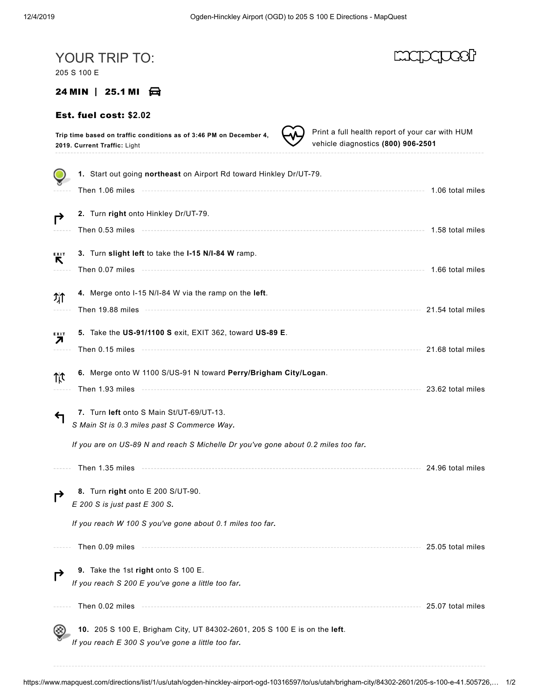| YOUR TRIP TO:<br>205 S 100 E                                                                                                                                                                |                   |
|---------------------------------------------------------------------------------------------------------------------------------------------------------------------------------------------|-------------------|
| 24 MIN   25.1 MI $\oplus$                                                                                                                                                                   |                   |
| Est. fuel cost: \$2.02                                                                                                                                                                      |                   |
| Print a full health report of your car with HUM<br>Trip time based on traffic conditions as of 3:46 PM on December 4,<br>vehicle diagnostics (800) 906-2501<br>2019. Current Traffic: Light |                   |
| 1. Start out going northeast on Airport Rd toward Hinkley Dr/UT-79.                                                                                                                         |                   |
|                                                                                                                                                                                             | 1.06 total miles  |
| 2. Turn right onto Hinkley Dr/UT-79.<br>?                                                                                                                                                   |                   |
|                                                                                                                                                                                             | 1.58 total miles  |
| 3. Turn slight left to take the I-15 N/I-84 W ramp.<br>EXIT<br>R                                                                                                                            |                   |
|                                                                                                                                                                                             | 1.66 total miles  |
| 4. Merge onto I-15 N/I-84 W via the ramp on the left.<br>개                                                                                                                                  |                   |
|                                                                                                                                                                                             | 21.54 total miles |
| 5. Take the US-91/1100 S exit, EXIT 362, toward US-89 E.<br>EXIT<br>Л                                                                                                                       |                   |
|                                                                                                                                                                                             | 21.68 total miles |
| 6. Merge onto W 1100 S/US-91 N toward Perry/Brigham City/Logan.<br>Tit                                                                                                                      |                   |
| Then 1.93 miles                                                                                                                                                                             | 23.62 total miles |
| 7. Turn left onto S Main St/UT-69/UT-13.<br>S Main St is 0.3 miles past S Commerce Way.                                                                                                     |                   |
| If you are on US-89 N and reach S Michelle Dr you've gone about 0.2 miles too far.                                                                                                          |                   |
| Then 1.35 miles                                                                                                                                                                             | 24.96 total miles |
| 8. Turn right onto E 200 S/UT-90.<br>E 200 S is just past E 300 S.                                                                                                                          |                   |
| If you reach W 100 S you've gone about 0.1 miles too far.                                                                                                                                   |                   |
| Then 0.09 miles                                                                                                                                                                             | 25.05 total miles |
| 9. Take the 1st right onto S 100 E.                                                                                                                                                         |                   |
| If you reach S 200 E you've gone a little too far.                                                                                                                                          |                   |
| Then 0.02 miles                                                                                                                                                                             | 25.07 total miles |
| 10. 205 S 100 E, Brigham City, UT 84302-2601, 205 S 100 E is on the left.<br>If you reach E 300 S you've gone a little too far.                                                             |                   |